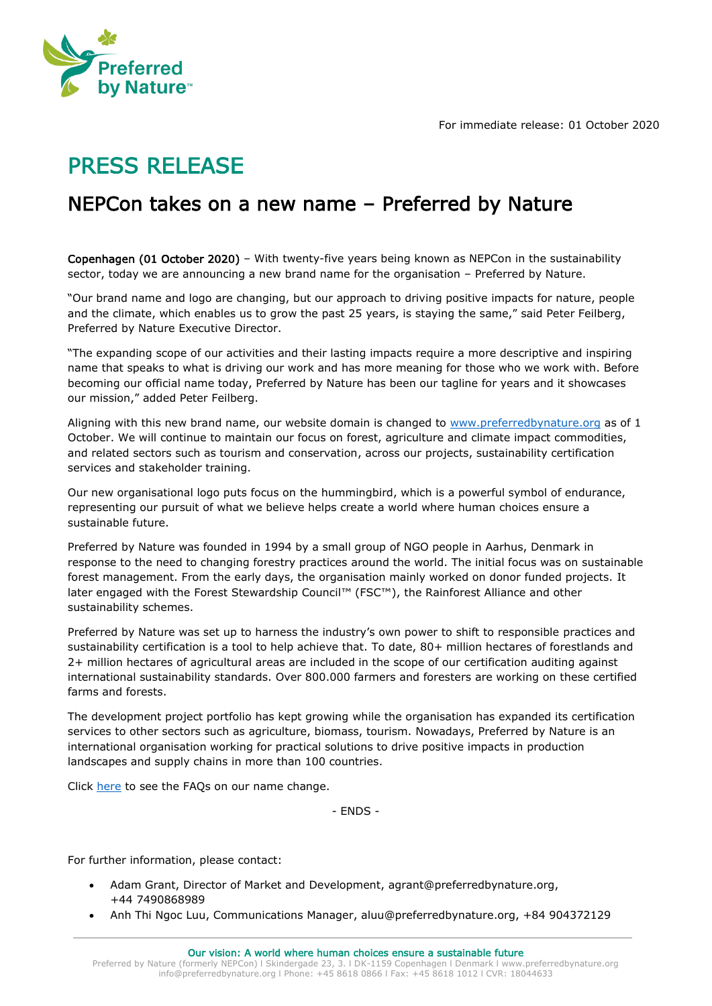

For immediate release: 01 October 2020

## PRESS RELEASE

## NEPCon takes on a new name – Preferred by Nature

Copenhagen (01 October 2020) – With twenty-five years being known as NEPCon in the sustainability sector, today we are announcing a new brand name for the organisation – Preferred by Nature.

"Our brand name and logo are changing, but our approach to driving positive impacts for nature, people and the climate, which enables us to grow the past 25 years, is staying the same," said Peter Feilberg, Preferred by Nature Executive Director.

"The expanding scope of our activities and their lasting impacts require a more descriptive and inspiring name that speaks to what is driving our work and has more meaning for those who we work with. Before becoming our official name today, Preferred by Nature has been our tagline for years and it showcases our mission," added Peter Feilberg.

Aligning with this new brand name, our website domain is changed to [www.preferredbynature.org](http://www.preferredbynature.org/) as of 1 October. We will continue to maintain our focus on forest, agriculture and climate impact commodities, and related sectors such as tourism and conservation, across our projects, sustainability certification services and stakeholder training.

Our new organisational logo puts focus on the hummingbird, which is a powerful symbol of endurance, representing our pursuit of what we believe helps create a world where human choices ensure a sustainable future.

Preferred by Nature was founded in 1994 by a small group of NGO people in Aarhus, Denmark in response to the need to changing forestry practices around the world. The initial focus was on sustainable forest management. From the early days, the organisation mainly worked on donor funded projects. It later engaged with the Forest Stewardship Council™ (FSC™), the Rainforest Alliance and other sustainability schemes.

Preferred by Nature was set up to harness the industry's own power to shift to responsible practices and sustainability certification is a tool to help achieve that. To date, 80+ million hectares of forestlands and 2+ million hectares of agricultural areas are included in the scope of our certification auditing against international sustainability standards. Over 800.000 farmers and foresters are working on these certified farms and forests.

The development project portfolio has kept growing while the organisation has expanded its certification services to other sectors such as agriculture, biomass, tourism. Nowadays, Preferred by Nature is an international organisation working for practical solutions to drive positive impacts in production landscapes and supply chains in more than 100 countries.

Click [here](https://preferredbynature.org/newsroom/faqs-nepcons-new-brand-name-preferred-nature) to see the FAQs on our name change.

- ENDS -

For further information, please contact:

- Adam Grant, Director of Market and Development, agrant@preferredbynature.org, +44 7490868989
- Anh Thi Ngoc Luu, Communications Manager, aluu@preferredbynature.org, +84 904372129